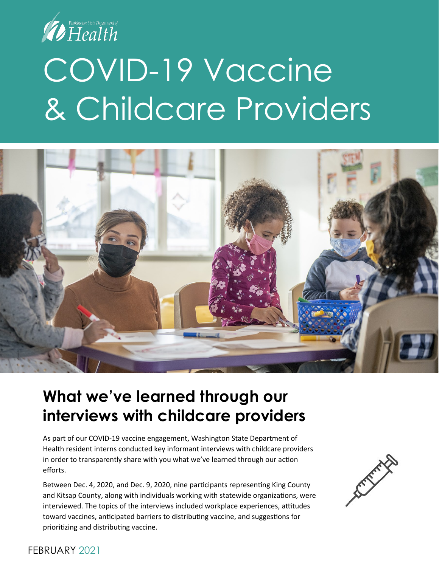

# COVID-19 Vaccine & Childcare Providers



#### **What we've learned through our interviews with childcare providers**

As part of our COVID-19 vaccine engagement, Washington State Department of Health resident interns conducted key informant interviews with childcare providers in order to transparently share with you what we've learned through our action efforts.

Between Dec. 4, 2020, and Dec. 9, 2020, nine participants representing King County and Kitsap County, along with individuals working with statewide organizations, were interviewed. The topics of the interviews included workplace experiences, attitudes toward vaccines, anticipated barriers to distributing vaccine, and suggestions for prioritizing and distributing vaccine.



#### FEBRUARY 2021